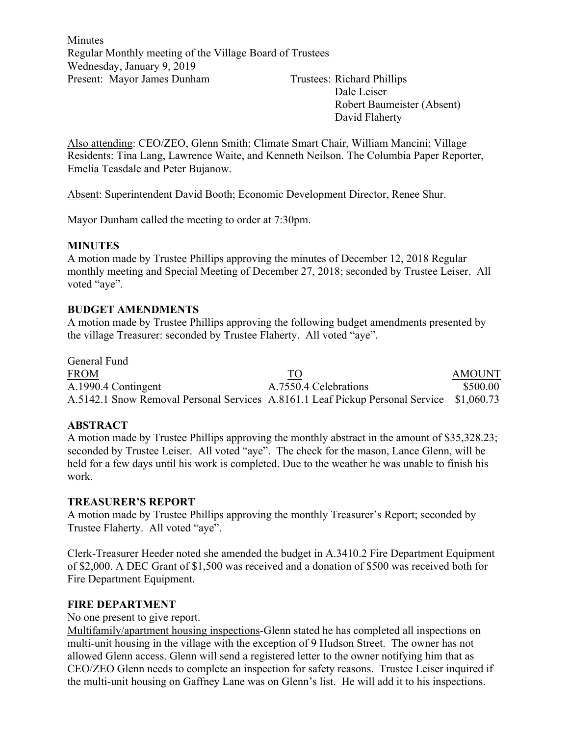Minutes Regular Monthly meeting of the Village Board of Trustees Wednesday, January 9, 2019 Present: Mayor James Dunham Trustees: Richard Phillips

Dale Leiser Robert Baumeister (Absent) David Flaherty

Also attending: CEO/ZEO, Glenn Smith; Climate Smart Chair, William Mancini; Village Residents: Tina Lang, Lawrence Waite, and Kenneth Neilson. The Columbia Paper Reporter, Emelia Teasdale and Peter Bujanow.

Absent: Superintendent David Booth; Economic Development Director, Renee Shur.

Mayor Dunham called the meeting to order at 7:30pm.

#### **MINUTES**

A motion made by Trustee Phillips approving the minutes of December 12, 2018 Regular monthly meeting and Special Meeting of December 27, 2018; seconded by Trustee Leiser. All voted "aye".

#### **BUDGET AMENDMENTS**

A motion made by Trustee Phillips approving the following budget amendments presented by the village Treasurer: seconded by Trustee Flaherty. All voted "aye".

General Fund FROM TO TO AMOUNT A.1990.4 Contingent A.7550.4 Celebrations \$500.00 A.5142.1 Snow Removal Personal Services A.8161.1 Leaf Pickup Personal Service \$1,060.73

## **ABSTRACT**

A motion made by Trustee Phillips approving the monthly abstract in the amount of \$35,328.23; seconded by Trustee Leiser. All voted "aye". The check for the mason, Lance Glenn, will be held for a few days until his work is completed. Due to the weather he was unable to finish his work.

#### **TREASURER'S REPORT**

A motion made by Trustee Phillips approving the monthly Treasurer's Report; seconded by Trustee Flaherty. All voted "aye".

Clerk-Treasurer Heeder noted she amended the budget in A.3410.2 Fire Department Equipment of \$2,000. A DEC Grant of \$1,500 was received and a donation of \$500 was received both for Fire Department Equipment.

#### **FIRE DEPARTMENT**

No one present to give report.

Multifamily/apartment housing inspections-Glenn stated he has completed all inspections on multi-unit housing in the village with the exception of 9 Hudson Street. The owner has not allowed Glenn access. Glenn will send a registered letter to the owner notifying him that as CEO/ZEO Glenn needs to complete an inspection for safety reasons. Trustee Leiser inquired if the multi-unit housing on Gaffney Lane was on Glenn's list. He will add it to his inspections.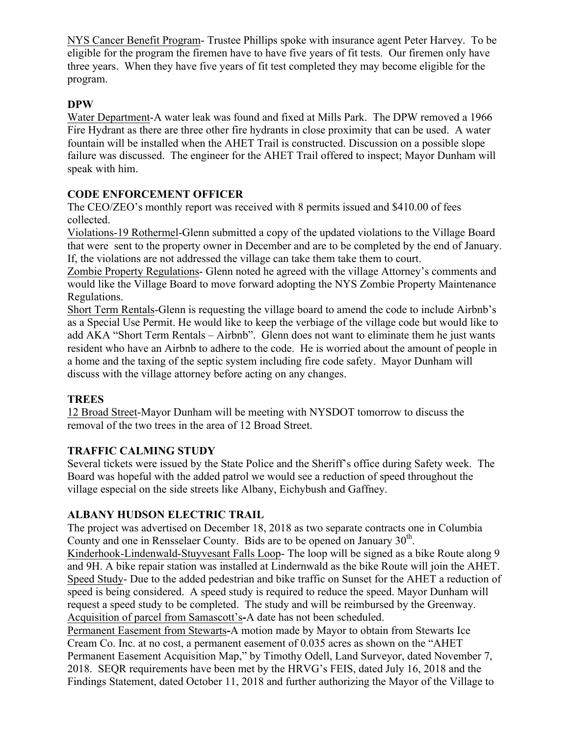NYS Cancer Benefit Program- Trustee Phillips spoke with insurance agent Peter Harvey. To be eligible for the program the firemen have to have five years of fit tests. Our firemen only have three years. When they have five years of fit test completed they may become eligible for the program.

# **DPW**

Water Department-A water leak was found and fixed at Mills Park. The DPW removed a 1966 Fire Hydrant as there are three other fire hydrants in close proximity that can be used. A water fountain will be installed when the AHET Trail is constructed. Discussion on a possible slope failure was discussed. The engineer for the AHET Trail offered to inspect; Mayor Dunham will speak with him.

## **CODE ENFORCEMENT OFFICER**

The CEO/ZEO's monthly report was received with 8 permits issued and \$410.00 of fees collected.

Violations-19 Rothermel-Glenn submitted a copy of the updated violations to the Village Board that were sent to the property owner in December and are to be completed by the end of January. If, the violations are not addressed the village can take them take them to court.

Zombie Property Regulations- Glenn noted he agreed with the village Attorney's comments and would like the Village Board to move forward adopting the NYS Zombie Property Maintenance Regulations.

Short Term Rentals-Glenn is requesting the village board to amend the code to include Airbnb's as a Special Use Permit. He would like to keep the verbiage of the village code but would like to add AKA "Short Term Rentals – Airbnb". Glenn does not want to eliminate them he just wants resident who have an Airbnb to adhere to the code. He is worried about the amount of people in a home and the taxing of the septic system including fire code safety. Mayor Dunham will discuss with the village attorney before acting on any changes.

## **TREES**

12 Broad Street-Mayor Dunham will be meeting with NYSDOT tomorrow to discuss the removal of the two trees in the area of 12 Broad Street.

## **TRAFFIC CALMING STUDY**

Several tickets were issued by the State Police and the Sheriff's office during Safety week. The Board was hopeful with the added patrol we would see a reduction of speed throughout the village especial on the side streets like Albany, Eichybush and Gaffney.

## **ALBANY HUDSON ELECTRIC TRAIL**

The project was advertised on December 18, 2018 as two separate contracts one in Columbia County and one in Rensselaer County. Bids are to be opened on January 30<sup>th</sup>.

Kinderhook-Lindenwald-Stuyvesant Falls Loop- The loop will be signed as a bike Route along 9 and 9H. A bike repair station was installed at Lindernwald as the bike Route will join the AHET. Speed Study- Due to the added pedestrian and bike traffic on Sunset for the AHET a reduction of speed is being considered. A speed study is required to reduce the speed. Mayor Dunham will request a speed study to be completed. The study and will be reimbursed by the Greenway. Acquisition of parcel from Samascott's**-**A date has not been scheduled.

Permanent Easement from Stewarts**-**A motion made by Mayor to obtain from Stewarts Ice Cream Co. Inc. at no cost, a permanent easement of 0.035 acres as shown on the "AHET Permanent Easement Acquisition Map," by Timothy Odell, Land Surveyor, dated November 7, 2018. SEQR requirements have been met by the HRVG's FEIS, dated July 16, 2018 and the Findings Statement, dated October 11, 2018 and further authorizing the Mayor of the Village to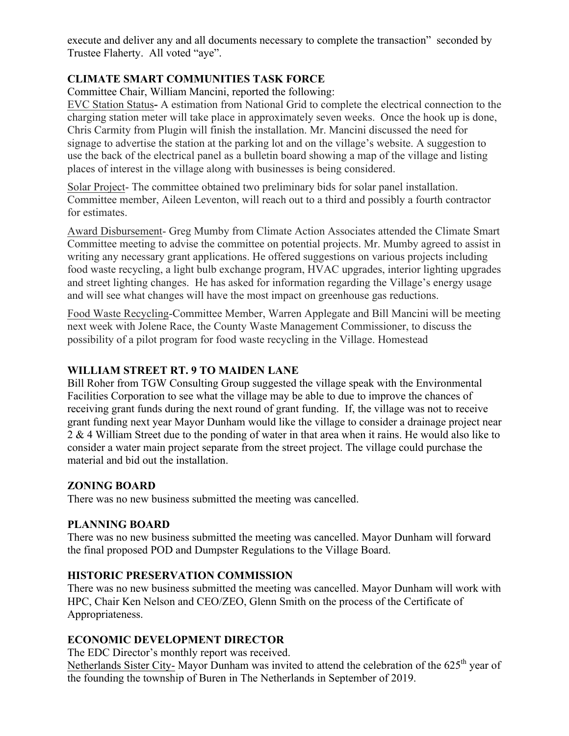execute and deliver any and all documents necessary to complete the transaction" seconded by Trustee Flaherty. All voted "aye".

# **CLIMATE SMART COMMUNITIES TASK FORCE**

Committee Chair, William Mancini, reported the following:

EVC Station Status**-** A estimation from National Grid to complete the electrical connection to the charging station meter will take place in approximately seven weeks. Once the hook up is done, Chris Carmity from Plugin will finish the installation. Mr. Mancini discussed the need for signage to advertise the station at the parking lot and on the village's website. A suggestion to use the back of the electrical panel as a bulletin board showing a map of the village and listing places of interest in the village along with businesses is being considered.

Solar Project- The committee obtained two preliminary bids for solar panel installation. Committee member, Aileen Leventon, will reach out to a third and possibly a fourth contractor for estimates.

Award Disbursement- Greg Mumby from Climate Action Associates attended the Climate Smart Committee meeting to advise the committee on potential projects. Mr. Mumby agreed to assist in writing any necessary grant applications. He offered suggestions on various projects including food waste recycling, a light bulb exchange program, HVAC upgrades, interior lighting upgrades and street lighting changes. He has asked for information regarding the Village's energy usage and will see what changes will have the most impact on greenhouse gas reductions.

Food Waste Recycling-Committee Member, Warren Applegate and Bill Mancini will be meeting next week with Jolene Race, the County Waste Management Commissioner, to discuss the possibility of a pilot program for food waste recycling in the Village. Homestead

## **WILLIAM STREET RT. 9 TO MAIDEN LANE**

Bill Roher from TGW Consulting Group suggested the village speak with the Environmental Facilities Corporation to see what the village may be able to due to improve the chances of receiving grant funds during the next round of grant funding. If, the village was not to receive grant funding next year Mayor Dunham would like the village to consider a drainage project near 2 & 4 William Street due to the ponding of water in that area when it rains. He would also like to consider a water main project separate from the street project. The village could purchase the material and bid out the installation.

## **ZONING BOARD**

There was no new business submitted the meeting was cancelled.

#### **PLANNING BOARD**

There was no new business submitted the meeting was cancelled. Mayor Dunham will forward the final proposed POD and Dumpster Regulations to the Village Board.

## **HISTORIC PRESERVATION COMMISSION**

There was no new business submitted the meeting was cancelled. Mayor Dunham will work with HPC, Chair Ken Nelson and CEO/ZEO, Glenn Smith on the process of the Certificate of Appropriateness.

## **ECONOMIC DEVELOPMENT DIRECTOR**

The EDC Director's monthly report was received.

Netherlands Sister City- Mayor Dunham was invited to attend the celebration of the  $625<sup>th</sup>$  year of the founding the township of Buren in The Netherlands in September of 2019.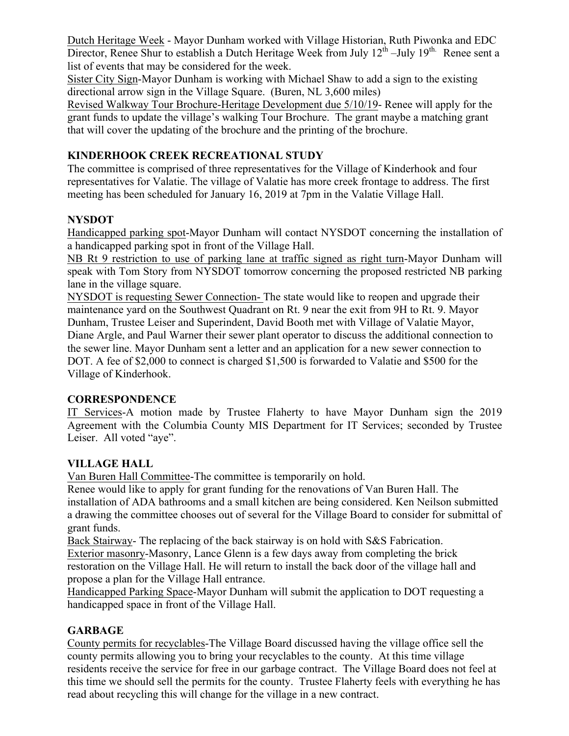Dutch Heritage Week - Mayor Dunham worked with Village Historian, Ruth Piwonka and EDC Director, Renee Shur to establish a Dutch Heritage Week from July  $12^{th}$  –July  $19^{th}$ . Renee sent a list of events that may be considered for the week.

Sister City Sign-Mayor Dunham is working with Michael Shaw to add a sign to the existing directional arrow sign in the Village Square. (Buren, NL 3,600 miles)

Revised Walkway Tour Brochure-Heritage Development due 5/10/19- Renee will apply for the grant funds to update the village's walking Tour Brochure. The grant maybe a matching grant that will cover the updating of the brochure and the printing of the brochure.

# **KINDERHOOK CREEK RECREATIONAL STUDY**

The committee is comprised of three representatives for the Village of Kinderhook and four representatives for Valatie. The village of Valatie has more creek frontage to address. The first meeting has been scheduled for January 16, 2019 at 7pm in the Valatie Village Hall.

# **NYSDOT**

Handicapped parking spot-Mayor Dunham will contact NYSDOT concerning the installation of a handicapped parking spot in front of the Village Hall.

NB Rt 9 restriction to use of parking lane at traffic signed as right turn-Mayor Dunham will speak with Tom Story from NYSDOT tomorrow concerning the proposed restricted NB parking lane in the village square.

NYSDOT is requesting Sewer Connection- The state would like to reopen and upgrade their maintenance yard on the Southwest Quadrant on Rt. 9 near the exit from 9H to Rt. 9. Mayor Dunham, Trustee Leiser and Superindent, David Booth met with Village of Valatie Mayor, Diane Argle, and Paul Warner their sewer plant operator to discuss the additional connection to the sewer line. Mayor Dunham sent a letter and an application for a new sewer connection to DOT. A fee of \$2,000 to connect is charged \$1,500 is forwarded to Valatie and \$500 for the Village of Kinderhook.

# **CORRESPONDENCE**

IT Services-A motion made by Trustee Flaherty to have Mayor Dunham sign the 2019 Agreement with the Columbia County MIS Department for IT Services; seconded by Trustee Leiser. All voted "aye".

# **VILLAGE HALL**

Van Buren Hall Committee-The committee is temporarily on hold.

Renee would like to apply for grant funding for the renovations of Van Buren Hall. The installation of ADA bathrooms and a small kitchen are being considered. Ken Neilson submitted a drawing the committee chooses out of several for the Village Board to consider for submittal of grant funds.

Back Stairway- The replacing of the back stairway is on hold with S&S Fabrication. Exterior masonry-Masonry, Lance Glenn is a few days away from completing the brick restoration on the Village Hall. He will return to install the back door of the village hall and

propose a plan for the Village Hall entrance.

Handicapped Parking Space-Mayor Dunham will submit the application to DOT requesting a handicapped space in front of the Village Hall.

# **GARBAGE**

County permits for recyclables-The Village Board discussed having the village office sell the county permits allowing you to bring your recyclables to the county. At this time village residents receive the service for free in our garbage contract. The Village Board does not feel at this time we should sell the permits for the county. Trustee Flaherty feels with everything he has read about recycling this will change for the village in a new contract.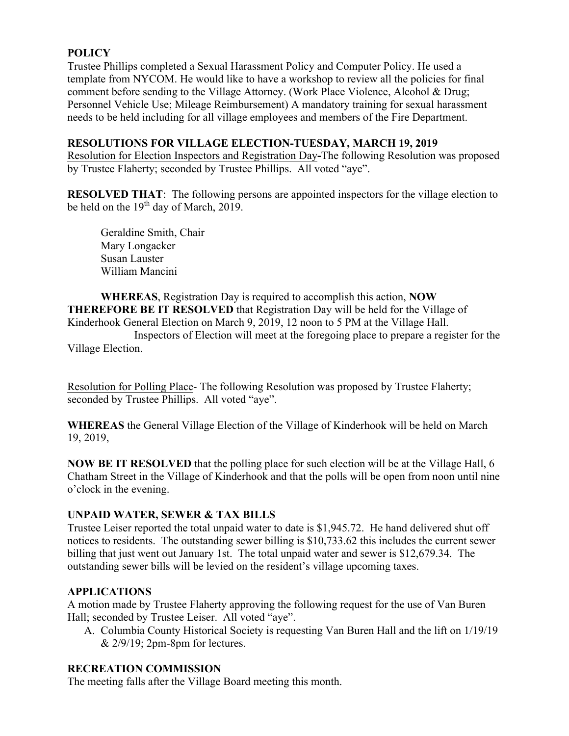## **POLICY**

Trustee Phillips completed a Sexual Harassment Policy and Computer Policy. He used a template from NYCOM. He would like to have a workshop to review all the policies for final comment before sending to the Village Attorney. (Work Place Violence, Alcohol & Drug; Personnel Vehicle Use; Mileage Reimbursement) A mandatory training for sexual harassment needs to be held including for all village employees and members of the Fire Department.

#### **RESOLUTIONS FOR VILLAGE ELECTION-TUESDAY, MARCH 19, 2019**

Resolution for Election Inspectors and Registration Day**-**The following Resolution was proposed by Trustee Flaherty; seconded by Trustee Phillips. All voted "aye".

**RESOLVED THAT:** The following persons are appointed inspectors for the village election to be held on the  $19<sup>th</sup>$  day of March, 2019.

Geraldine Smith, Chair Mary Longacker Susan Lauster William Mancini

**WHEREAS**, Registration Day is required to accomplish this action, **NOW THEREFORE BE IT RESOLVED** that Registration Day will be held for the Village of Kinderhook General Election on March 9, 2019, 12 noon to 5 PM at the Village Hall.

Inspectors of Election will meet at the foregoing place to prepare a register for the Village Election.

Resolution for Polling Place- The following Resolution was proposed by Trustee Flaherty; seconded by Trustee Phillips. All voted "aye".

**WHEREAS** the General Village Election of the Village of Kinderhook will be held on March 19, 2019,

**NOW BE IT RESOLVED** that the polling place for such election will be at the Village Hall, 6 Chatham Street in the Village of Kinderhook and that the polls will be open from noon until nine o'clock in the evening.

## **UNPAID WATER, SEWER & TAX BILLS**

Trustee Leiser reported the total unpaid water to date is \$1,945.72. He hand delivered shut off notices to residents. The outstanding sewer billing is \$10,733.62 this includes the current sewer billing that just went out January 1st. The total unpaid water and sewer is \$12,679.34. The outstanding sewer bills will be levied on the resident's village upcoming taxes.

## **APPLICATIONS**

A motion made by Trustee Flaherty approving the following request for the use of Van Buren Hall; seconded by Trustee Leiser. All voted "aye".

A. Columbia County Historical Society is requesting Van Buren Hall and the lift on 1/19/19  $& 2/9/19$ ; 2pm-8pm for lectures.

## **RECREATION COMMISSION**

The meeting falls after the Village Board meeting this month.